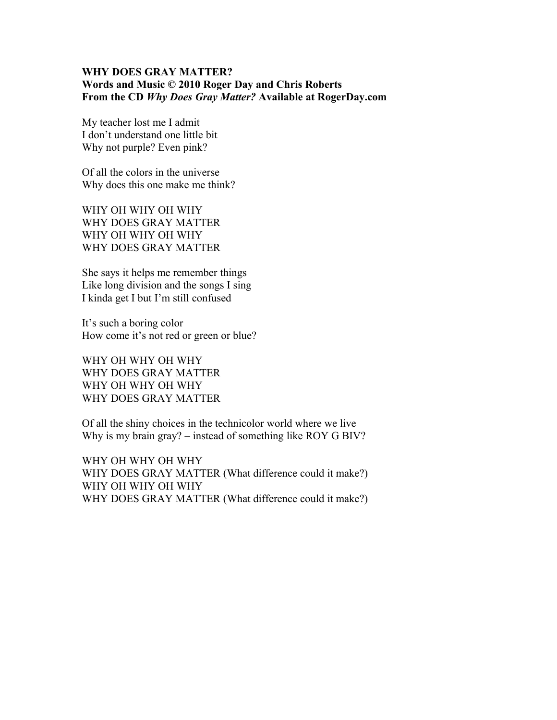## **WHY DOES GRAY MATTER? Words and Music © 2010 Roger Day and Chris Roberts From the CD** *Why Does Gray Matter?* **Available at RogerDay.com**

My teacher lost me I admit I don't understand one little bit Why not purple? Even pink?

Of all the colors in the universe Why does this one make me think?

WHY OH WHY OH WHY WHY DOES GRAY MATTER WHY OH WHY OH WHY WHY DOES GRAY MATTER

She says it helps me remember things Like long division and the songs I sing I kinda get I but I'm still confused

It's such a boring color How come it's not red or green or blue?

WHY OH WHY OH WHY WHY DOES GRAY MATTER WHY OH WHY OH WHY WHY DOES GRAY MATTER

Of all the shiny choices in the technicolor world where we live Why is my brain gray? – instead of something like ROY G BIV?

WHY OH WHY OH WHY WHY DOES GRAY MATTER (What difference could it make?) WHY OH WHY OH WHY WHY DOES GRAY MATTER (What difference could it make?)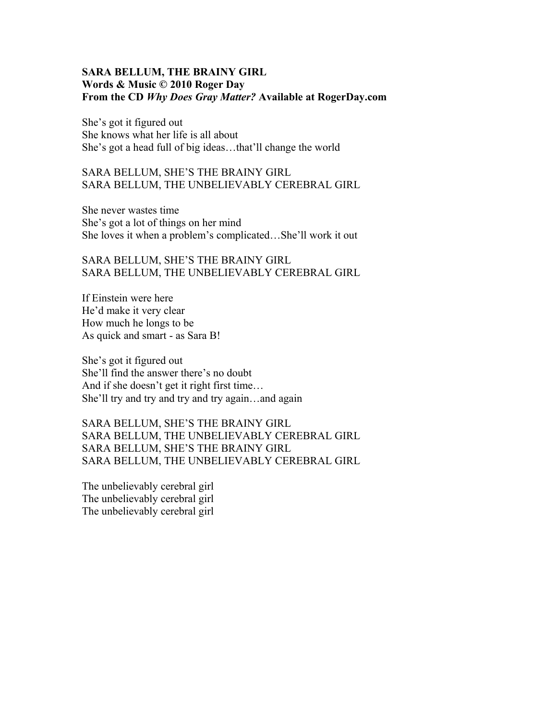## **SARA BELLUM, THE BRAINY GIRL Words & Music © 2010 Roger Day From the CD** *Why Does Gray Matter?* **Available at RogerDay.com**

She's got it figured out She knows what her life is all about She's got a head full of big ideas…that'll change the world

## SARA BELLUM, SHE'S THE BRAINY GIRL SARA BELLUM, THE UNBELIEVABLY CEREBRAL GIRL

She never wastes time She's got a lot of things on her mind She loves it when a problem's complicated…She'll work it out

# SARA BELLUM, SHE'S THE BRAINY GIRL SARA BELLUM, THE UNBELIEVABLY CEREBRAL GIRL

If Einstein were here He'd make it very clear How much he longs to be As quick and smart - as Sara B!

She's got it figured out She'll find the answer there's no doubt And if she doesn't get it right first time… She'll try and try and try and try again…and again

SARA BELLUM, SHE'S THE BRAINY GIRL SARA BELLUM, THE UNBELIEVABLY CEREBRAL GIRL SARA BELLUM, SHE'S THE BRAINY GIRL SARA BELLUM, THE UNBELIEVABLY CEREBRAL GIRL

The unbelievably cerebral girl The unbelievably cerebral girl The unbelievably cerebral girl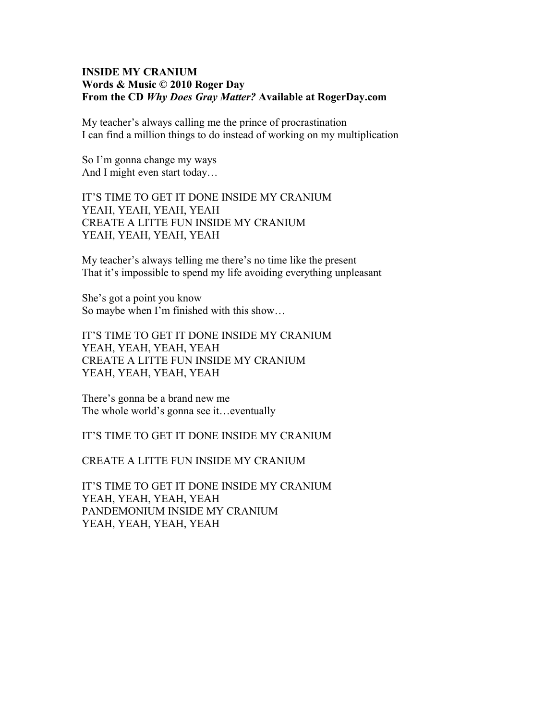#### **INSIDE MY CRANIUM Words & Music © 2010 Roger Day From the CD** *Why Does Gray Matter?* **Available at RogerDay.com**

My teacher's always calling me the prince of procrastination I can find a million things to do instead of working on my multiplication

So I'm gonna change my ways And I might even start today…

IT'S TIME TO GET IT DONE INSIDE MY CRANIUM YEAH, YEAH, YEAH, YEAH CREATE A LITTE FUN INSIDE MY CRANIUM YEAH, YEAH, YEAH, YEAH

My teacher's always telling me there's no time like the present That it's impossible to spend my life avoiding everything unpleasant

She's got a point you know So maybe when I'm finished with this show…

IT'S TIME TO GET IT DONE INSIDE MY CRANIUM YEAH, YEAH, YEAH, YEAH CREATE A LITTE FUN INSIDE MY CRANIUM YEAH, YEAH, YEAH, YEAH

There's gonna be a brand new me The whole world's gonna see it... eventually

IT'S TIME TO GET IT DONE INSIDE MY CRANIUM

CREATE A LITTE FUN INSIDE MY CRANIUM

IT'S TIME TO GET IT DONE INSIDE MY CRANIUM YEAH, YEAH, YEAH, YEAH PANDEMONIUM INSIDE MY CRANIUM YEAH, YEAH, YEAH, YEAH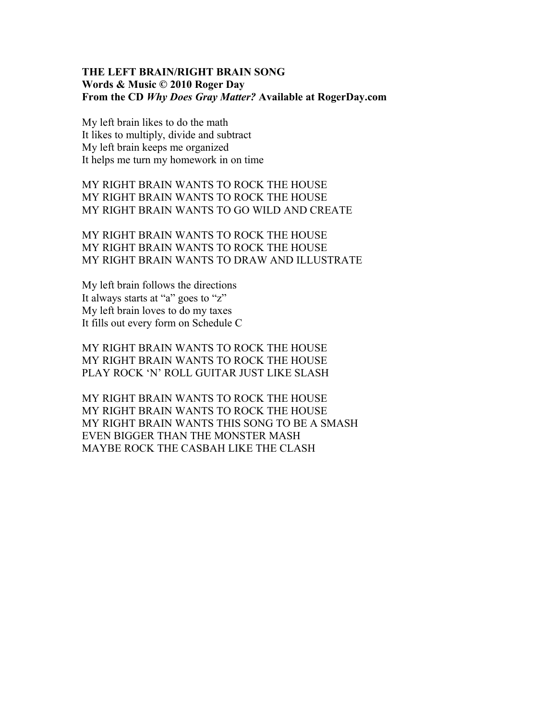#### **THE LEFT BRAIN/RIGHT BRAIN SONG Words & Music © 2010 Roger Day From the CD** *Why Does Gray Matter?* **Available at RogerDay.com**

My left brain likes to do the math It likes to multiply, divide and subtract My left brain keeps me organized It helps me turn my homework in on time

MY RIGHT BRAIN WANTS TO ROCK THE HOUSE MY RIGHT BRAIN WANTS TO ROCK THE HOUSE MY RIGHT BRAIN WANTS TO GO WILD AND CREATE

MY RIGHT BRAIN WANTS TO ROCK THE HOUSE MY RIGHT BRAIN WANTS TO ROCK THE HOUSE MY RIGHT BRAIN WANTS TO DRAW AND ILLUSTRATE

My left brain follows the directions It always starts at "a" goes to "z" My left brain loves to do my taxes It fills out every form on Schedule C

MY RIGHT BRAIN WANTS TO ROCK THE HOUSE MY RIGHT BRAIN WANTS TO ROCK THE HOUSE PLAY ROCK 'N' ROLL GUITAR JUST LIKE SLASH

MY RIGHT BRAIN WANTS TO ROCK THE HOUSE MY RIGHT BRAIN WANTS TO ROCK THE HOUSE MY RIGHT BRAIN WANTS THIS SONG TO BE A SMASH EVEN BIGGER THAN THE MONSTER MASH MAYBE ROCK THE CASBAH LIKE THE CLASH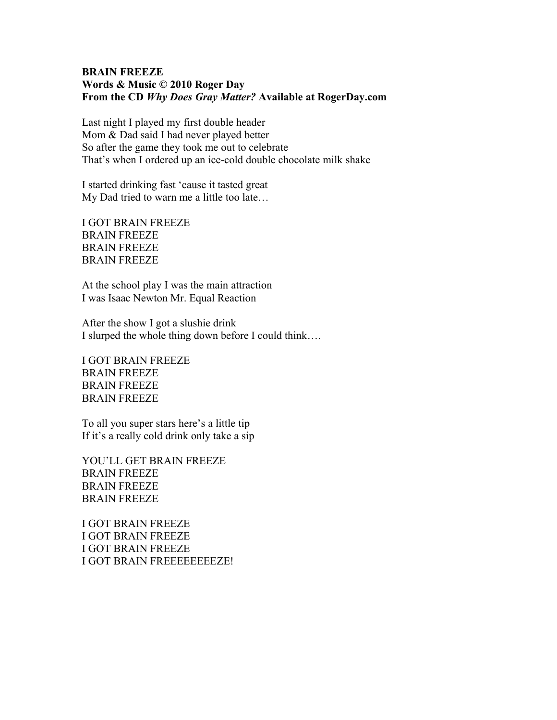## **BRAIN FREEZE Words & Music © 2010 Roger Day From the CD** *Why Does Gray Matter?* **Available at RogerDay.com**

Last night I played my first double header Mom & Dad said I had never played better So after the game they took me out to celebrate That's when I ordered up an ice-cold double chocolate milk shake

I started drinking fast 'cause it tasted great My Dad tried to warn me a little too late…

I GOT BRAIN FREEZE BRAIN FREEZE BRAIN FREEZE BRAIN FREEZE

At the school play I was the main attraction I was Isaac Newton Mr. Equal Reaction

After the show I got a slushie drink I slurped the whole thing down before I could think….

I GOT BRAIN FREEZE BRAIN FREEZE BRAIN FREEZE BRAIN FREEZE

To all you super stars here's a little tip If it's a really cold drink only take a sip

YOU'LL GET BRAIN FREEZE BRAIN FREEZE BRAIN FREEZE BRAIN FREEZE

I GOT BRAIN FREEZE I GOT BRAIN FREEZE I GOT BRAIN FREEZE I GOT BRAIN FREEEEEEEEZE!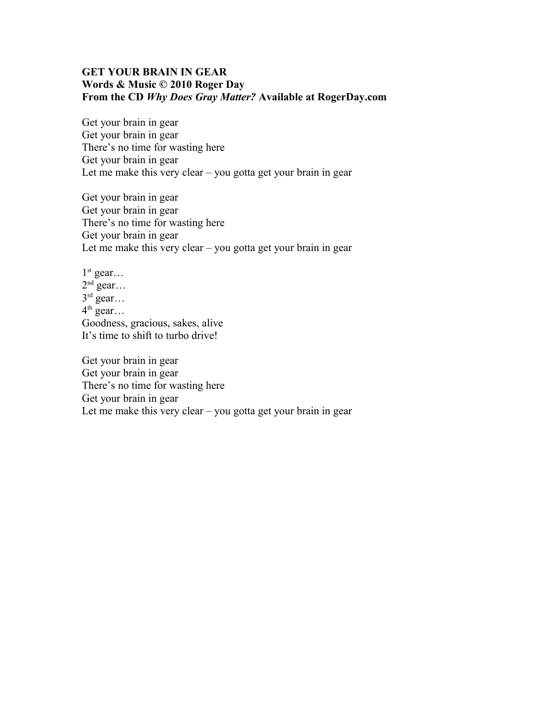## **GET YOUR BRAIN IN GEAR Words & Music © 2010 Roger Day From the CD** *Why Does Gray Matter?* **Available at RogerDay.com**

Get your brain in gear Get your brain in gear There's no time for wasting here Get your brain in gear Let me make this very clear – you gotta get your brain in gear

Get your brain in gear Get your brain in gear There's no time for wasting here Get your brain in gear Let me make this very clear – you gotta get your brain in gear

 $1<sup>st</sup>$  gear...  $2<sup>nd</sup>$  gear...  $3<sup>rd</sup>$  gear...  $4^{\text{th}}$  gear... Goodness, gracious, sakes, alive It's time to shift to turbo drive!

Get your brain in gear Get your brain in gear There's no time for wasting here Get your brain in gear Let me make this very clear – you gotta get your brain in gear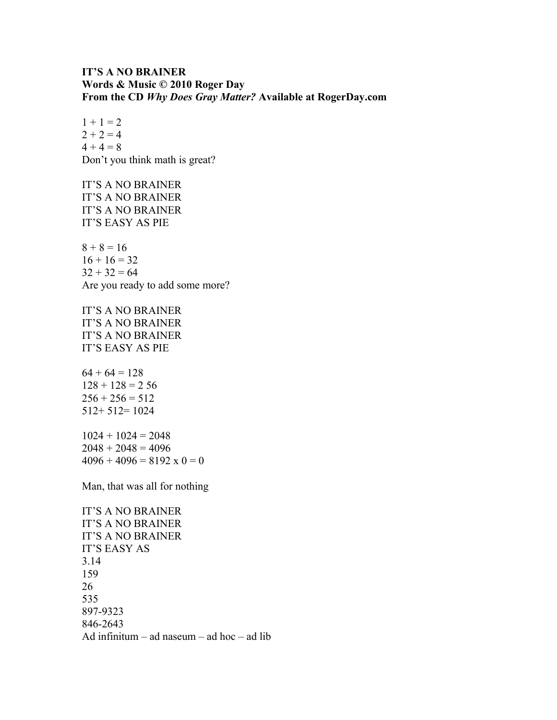## **IT'S A NO BRAINER Words & Music © 2010 Roger Day From the CD** *Why Does Gray Matter?* **Available at RogerDay.com**

 $1 + 1 = 2$  $2 + 2 = 4$  $4 + 4 = 8$ Don't you think math is great?

IT'S A NO BRAINER IT'S A NO BRAINER IT'S A NO BRAINER IT'S EASY AS PIE

 $8 + 8 = 16$  $16 + 16 = 32$  $32 + 32 = 64$ Are you ready to add some more?

IT'S A NO BRAINER IT'S A NO BRAINER IT'S A NO BRAINER IT'S EASY AS PIE

 $64 + 64 = 128$  $128 + 128 = 256$  $256 + 256 = 512$ 512+ 512= 1024

 $1024 + 1024 = 2048$  $2048 + 2048 = 4096$  $4096 + 4096 = 8192 \times 0 = 0$ 

Man, that was all for nothing

IT'S A NO BRAINER IT'S A NO BRAINER IT'S A NO BRAINER IT'S EASY AS 3.14 159 26 535 897-9323 846-2643 Ad infinitum – ad naseum – ad hoc – ad lib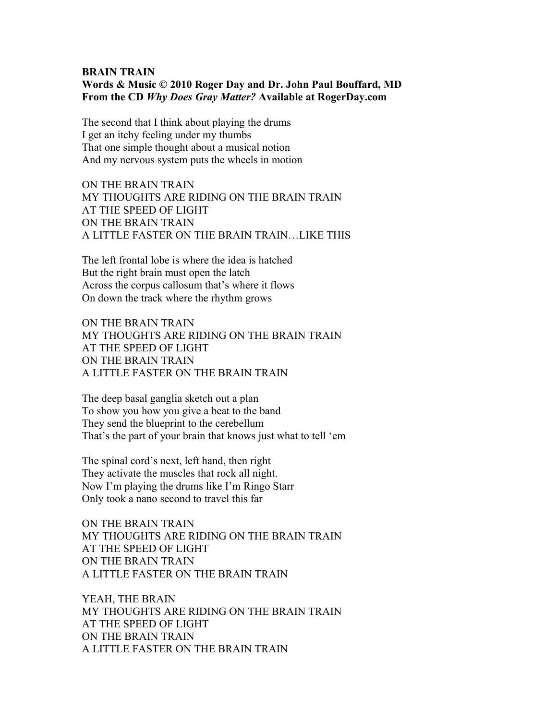#### **BRAIN TRAIN Words & Music © 2010 Roger Day and Dr. John Paul Bouffard, MD From the CD** *Why Does Gray Matter?* **Available at RogerDay.com**

The second that I think about playing the drums I get an itchy feeling under my thumbs That one simple thought about a musical notion And my nervous system puts the wheels in motion

ON THE BRAIN TRAIN MY THOUGHTS ARE RIDING ON THE BRAIN TRAIN AT THE SPEED OF LIGHT ON THE BRAIN TRAIN A LITTLE FASTER ON THE BRAIN TRAIN…LIKE THIS

The left frontal lobe is where the idea is hatched But the right brain must open the latch Across the corpus callosum that's where it flows On down the track where the rhythm grows

ON THE BRAIN TRAIN MY THOUGHTS ARE RIDING ON THE BRAIN TRAIN AT THE SPEED OF LIGHT ON THE BRAIN TRAIN A LITTLE FASTER ON THE BRAIN TRAIN

The deep basal ganglia sketch out a plan To show you how you give a beat to the band They send the blueprint to the cerebellum That's the part of your brain that knows just what to tell 'em

The spinal cord's next, left hand, then right They activate the muscles that rock all night. Now I'm playing the drums like I'm Ringo Starr Only took a nano second to travel this far

ON THE BRAIN TRAIN MY THOUGHTS ARE RIDING ON THE BRAIN TRAIN AT THE SPEED OF LIGHT ON THE BRAIN TRAIN A LITTLE FASTER ON THE BRAIN TRAIN

YEAH, THE BRAIN MY THOUGHTS ARE RIDING ON THE BRAIN TRAIN AT THE SPEED OF LIGHT ON THE BRAIN TRAIN A LITTLE FASTER ON THE BRAIN TRAIN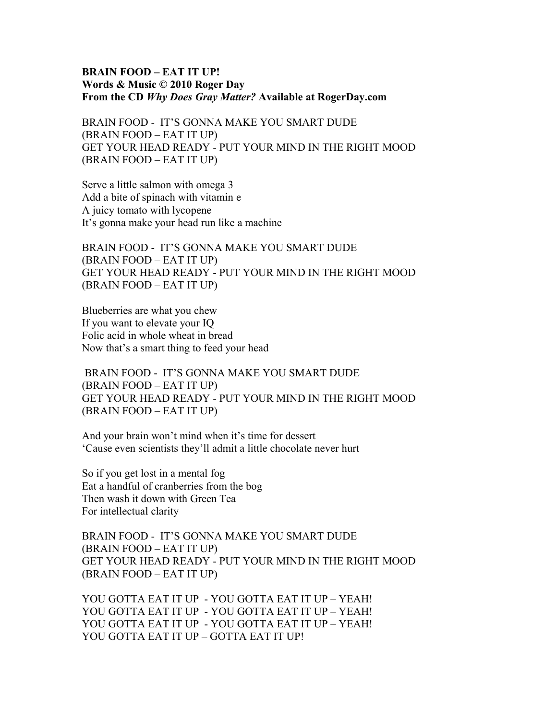#### **BRAIN FOOD – EAT IT UP! Words & Music © 2010 Roger Day From the CD** *Why Does Gray Matter?* **Available at RogerDay.com**

BRAIN FOOD - IT'S GONNA MAKE YOU SMART DUDE (BRAIN FOOD – EAT IT UP) GET YOUR HEAD READY - PUT YOUR MIND IN THE RIGHT MOOD (BRAIN FOOD – EAT IT UP)

Serve a little salmon with omega 3 Add a bite of spinach with vitamin e A juicy tomato with lycopene It's gonna make your head run like a machine

BRAIN FOOD - IT'S GONNA MAKE YOU SMART DUDE (BRAIN FOOD – EAT IT UP) GET YOUR HEAD READY - PUT YOUR MIND IN THE RIGHT MOOD (BRAIN FOOD – EAT IT UP)

Blueberries are what you chew If you want to elevate your IQ Folic acid in whole wheat in bread Now that's a smart thing to feed your head

BRAIN FOOD - IT'S GONNA MAKE YOU SMART DUDE (BRAIN FOOD – EAT IT UP) GET YOUR HEAD READY - PUT YOUR MIND IN THE RIGHT MOOD (BRAIN FOOD – EAT IT UP)

And your brain won't mind when it's time for dessert 'Cause even scientists they'll admit a little chocolate never hurt

So if you get lost in a mental fog Eat a handful of cranberries from the bog Then wash it down with Green Tea For intellectual clarity

BRAIN FOOD - IT'S GONNA MAKE YOU SMART DUDE (BRAIN FOOD – EAT IT UP) GET YOUR HEAD READY - PUT YOUR MIND IN THE RIGHT MOOD (BRAIN FOOD – EAT IT UP)

YOU GOTTA EAT IT UP - YOU GOTTA EAT IT UP – YEAH! YOU GOTTA EAT IT UP - YOU GOTTA EAT IT UP – YEAH! YOU GOTTA EAT IT UP - YOU GOTTA EAT IT UP – YEAH! YOU GOTTA EAT IT UP – GOTTA EAT IT UP!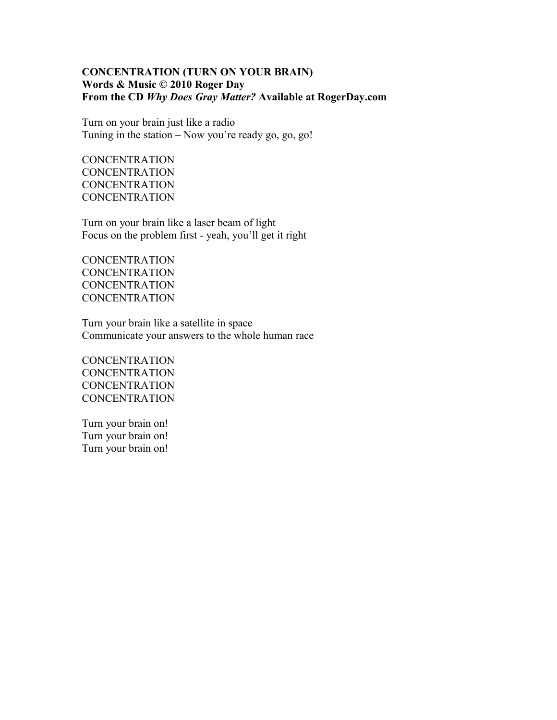## **CONCENTRATION (TURN ON YOUR BRAIN) Words & Music © 2010 Roger Day From the CD** *Why Does Gray Matter?* **Available at RogerDay.com**

Turn on your brain just like a radio Tuning in the station – Now you're ready go, go, go!

**CONCENTRATION CONCENTRATION CONCENTRATION CONCENTRATION** 

Turn on your brain like a laser beam of light Focus on the problem first - yeah, you'll get it right

**CONCENTRATION CONCENTRATION** CONCENTRATION **CONCENTRATION** 

Turn your brain like a satellite in space Communicate your answers to the whole human race

**CONCENTRATION CONCENTRATION CONCENTRATION CONCENTRATION** 

Turn your brain on! Turn your brain on! Turn your brain on!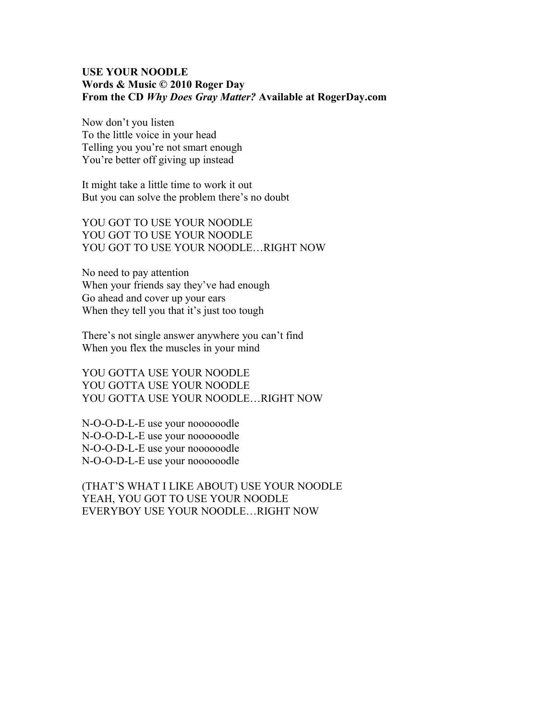### **USE YOUR NOODLE Words & Music © 2010 Roger Day From the CD** *Why Does Gray Matter?* **Available at RogerDay.com**

Now don't you listen To the little voice in your head Telling you you're not smart enough You're better off giving up instead

It might take a little time to work it out But you can solve the problem there's no doubt

YOU GOT TO USE YOUR NOODLE YOU GOT TO USE YOUR NOODLE YOU GOT TO USE YOUR NOODLE…RIGHT NOW

No need to pay attention When your friends say they've had enough Go ahead and cover up your ears When they tell you that it's just too tough

There's not single answer anywhere you can't find When you flex the muscles in your mind

YOU GOTTA USE YOUR NOODLE YOU GOTTA USE YOUR NOODLE YOU GOTTA USE YOUR NOODLE…RIGHT NOW

N-O-O-D-L-E use your noooooodle N-O-O-D-L-E use your noooooodle N-O-O-D-L-E use your noooooodle N-O-O-D-L-E use your noooooodle

(THAT'S WHAT I LIKE ABOUT) USE YOUR NOODLE YEAH, YOU GOT TO USE YOUR NOODLE EVERYBOY USE YOUR NOODLE…RIGHT NOW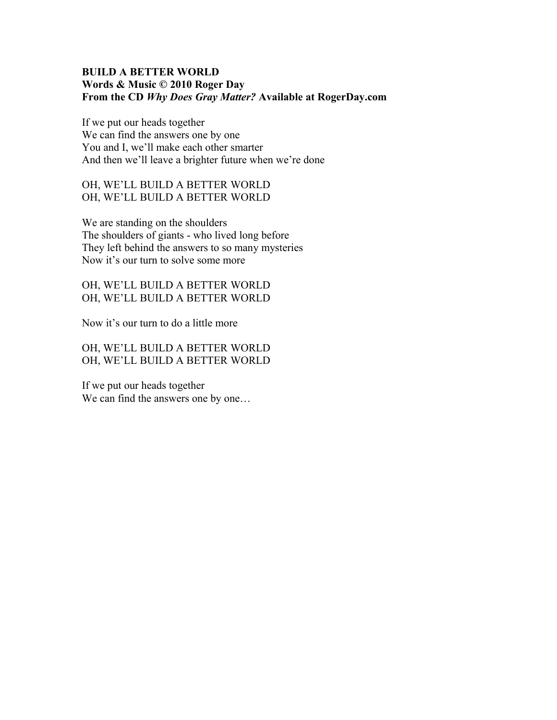## **BUILD A BETTER WORLD Words & Music © 2010 Roger Day From the CD** *Why Does Gray Matter?* **Available at RogerDay.com**

If we put our heads together We can find the answers one by one You and I, we'll make each other smarter And then we'll leave a brighter future when we're done

OH, WE'LL BUILD A BETTER WORLD OH, WE'LL BUILD A BETTER WORLD

We are standing on the shoulders The shoulders of giants - who lived long before They left behind the answers to so many mysteries Now it's our turn to solve some more

OH, WE'LL BUILD A BETTER WORLD OH, WE'LL BUILD A BETTER WORLD

Now it's our turn to do a little more

OH, WE'LL BUILD A BETTER WORLD OH, WE'LL BUILD A BETTER WORLD

If we put our heads together We can find the answers one by one...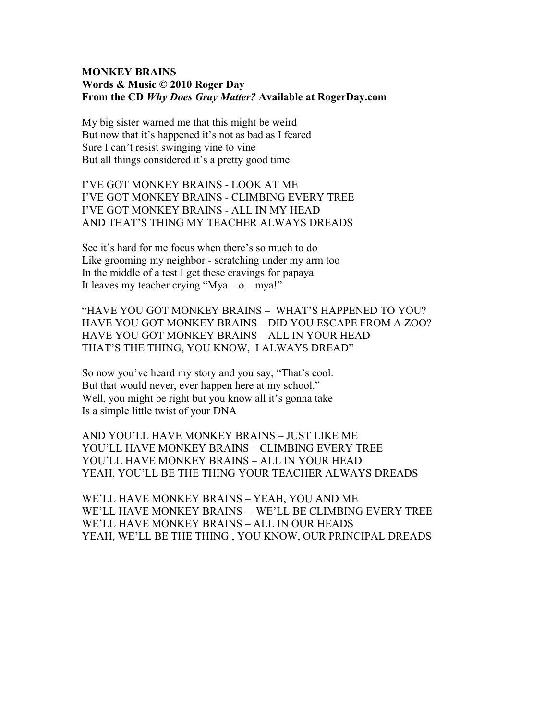#### **MONKEY BRAINS Words & Music © 2010 Roger Day From the CD** *Why Does Gray Matter?* **Available at RogerDay.com**

My big sister warned me that this might be weird But now that it's happened it's not as bad as I feared Sure I can't resist swinging vine to vine But all things considered it's a pretty good time

I'VE GOT MONKEY BRAINS - LOOK AT ME I'VE GOT MONKEY BRAINS - CLIMBING EVERY TREE I'VE GOT MONKEY BRAINS - ALL IN MY HEAD AND THAT'S THING MY TEACHER ALWAYS DREADS

See it's hard for me focus when there's so much to do Like grooming my neighbor - scratching under my arm too In the middle of a test I get these cravings for papaya It leaves my teacher crying "Mya –  $o - mya$ !"

"HAVE YOU GOT MONKEY BRAINS – WHAT'S HAPPENED TO YOU? HAVE YOU GOT MONKEY BRAINS – DID YOU ESCAPE FROM A ZOO? HAVE YOU GOT MONKEY BRAINS – ALL IN YOUR HEAD THAT'S THE THING, YOU KNOW, I ALWAYS DREAD"

So now you've heard my story and you say, "That's cool. But that would never, ever happen here at my school." Well, you might be right but you know all it's gonna take Is a simple little twist of your DNA

AND YOU'LL HAVE MONKEY BRAINS – JUST LIKE ME YOU'LL HAVE MONKEY BRAINS – CLIMBING EVERY TREE YOU'LL HAVE MONKEY BRAINS – ALL IN YOUR HEAD YEAH, YOU'LL BE THE THING YOUR TEACHER ALWAYS DREADS

WE'LL HAVE MONKEY BRAINS – YEAH, YOU AND ME WE'LL HAVE MONKEY BRAINS – WE'LL BE CLIMBING EVERY TREE WE'LL HAVE MONKEY BRAINS – ALL IN OUR HEADS YEAH, WE'LL BE THE THING , YOU KNOW, OUR PRINCIPAL DREADS